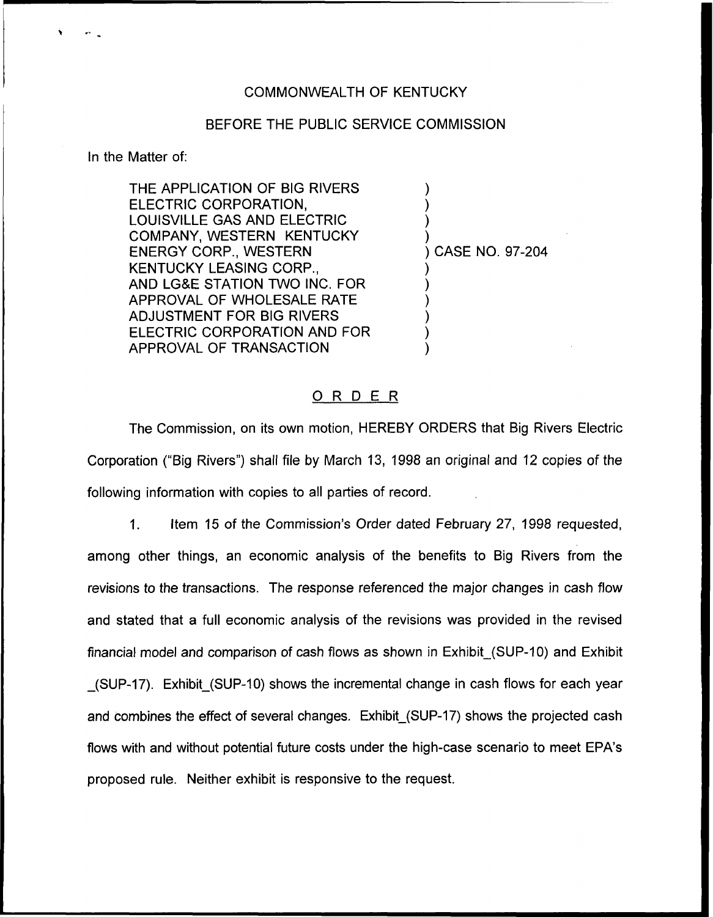## COMMONWEALTH OF KENTUCKY

## BEFORE THE PUBLIC SERVICE COMMISSION

In the Matter of:

THE APPLICATION OF BIG RIVERS ELECTRIC CORPORATION, LOUISVILLE GAS AND ELECTRIC COMPANY, WESTERN KENTUCKY ENERGY CORP., WESTERN KENTUCKY LEASING CORP., AND LG8E STATION TWO INC. FOR APPROVAL OF WHOLESALE RATE ADJUSTMENT FOR BIG RIVERS ELECTRIC CORPORATION AND FOR APPROVAL OF TRANSACTION

) CASE NO. 97-204

) ) ) )

) ) ) ) ) )

## ORDER

The Commission, on its own motion, HEREBY ORDERS that Big Rivers Electric Corporation ("Big Rivers") shall file by March 13, 1998 an original and 12 copies of the following information with copies to all parties of record.

1. Item 15 of the Commission's Order dated February 27, 1998 requested, among other things, an economic analysis of the benefits to Big Rivers from the revisions to the transactions. The response referenced the major changes in cash flow and stated that a full economic analysis of the revisions was provided in the revised financial model and comparison of cash flows as shown in Exhibit {SUP-10) and Exhibit (SUP-17). Exhibit (SUP-10) shows the incremental change in cash flows for each year and combines the effect of several changes. Exhibit (SUP-17) shows the projected cash flows with and without potential future costs under the high-case scenario to meet EPA's proposed rule. Neither exhibit is responsive to the request.